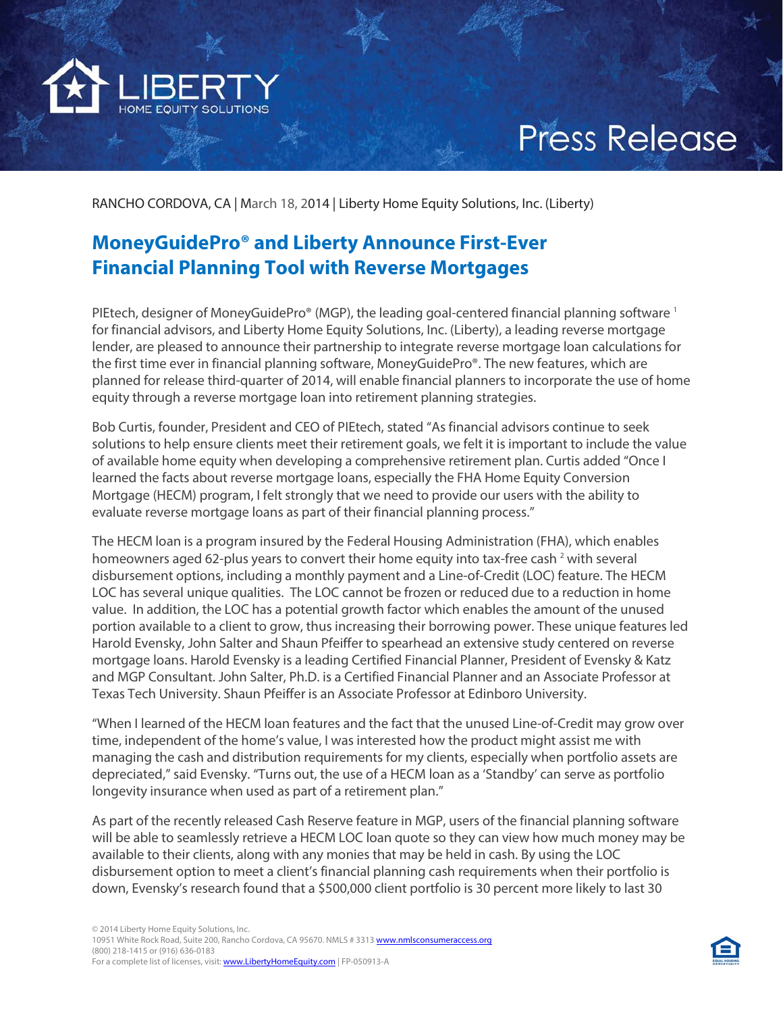

# **Press Release**

RANCHO CORDOVA, CA | March 18, 2014 | Liberty Home Equity Solutions, Inc. (Liberty)

# **MoneyGuidePro® and Liberty Announce First-Ever Financial Planning Tool with Reverse Mortgages**

PIEtech, designer of MoneyGuidePro® (MGP), the leading goal-centered financial planning software 1 for financial advisors, and Liberty Home Equity Solutions, Inc. (Liberty), a leading reverse mortgage lender, are pleased to announce their partnership to integrate reverse mortgage loan calculations for the first time ever in financial planning software, MoneyGuidePro®. The new features, which are planned for release third-quarter of 2014, will enable financial planners to incorporate the use of home equity through a reverse mortgage loan into retirement planning strategies.

Bob Curtis, founder, President and CEO of PIEtech, stated "As financial advisors continue to seek solutions to help ensure clients meet their retirement goals, we felt it is important to include the value of available home equity when developing a comprehensive retirement plan. Curtis added "Once I learned the facts about reverse mortgage loans, especially the FHA Home Equity Conversion Mortgage (HECM) program, I felt strongly that we need to provide our users with the ability to evaluate reverse mortgage loans as part of their financial planning process."

The HECM loan is a program insured by the Federal Housing Administration (FHA), which enables homeowners aged 62-plus years to convert their home equity into tax-free cash<sup>2</sup> with several disbursement options, including a monthly payment and a Line-of-Credit (LOC) feature. The HECM LOC has several unique qualities. The LOC cannot be frozen or reduced due to a reduction in home value. In addition, the LOC has a potential growth factor which enables the amount of the unused portion available to a client to grow, thus increasing their borrowing power. These unique features led Harold Evensky, John Salter and Shaun Pfeiffer to spearhead an extensive study centered on reverse mortgage loans. Harold Evensky is a leading Certified Financial Planner, President of Evensky & Katz and MGP Consultant. John Salter, Ph.D. is a Certified Financial Planner and an Associate Professor at Texas Tech University. Shaun Pfeiffer is an Associate Professor at Edinboro University.

"When I learned of the HECM loan features and the fact that the unused Line-of-Credit may grow over time, independent of the home's value, I was interested how the product might assist me with managing the cash and distribution requirements for my clients, especially when portfolio assets are depreciated," said Evensky. "Turns out, the use of a HECM loan as a 'Standby' can serve as portfolio longevity insurance when used as part of a retirement plan."

As part of the recently released Cash Reserve feature in MGP, users of the financial planning software will be able to seamlessly retrieve a HECM LOC loan quote so they can view how much money may be available to their clients, along with any monies that may be held in cash. By using the LOC disbursement option to meet a client's financial planning cash requirements when their portfolio is down, Evensky's research found that a \$500,000 client portfolio is 30 percent more likely to last 30

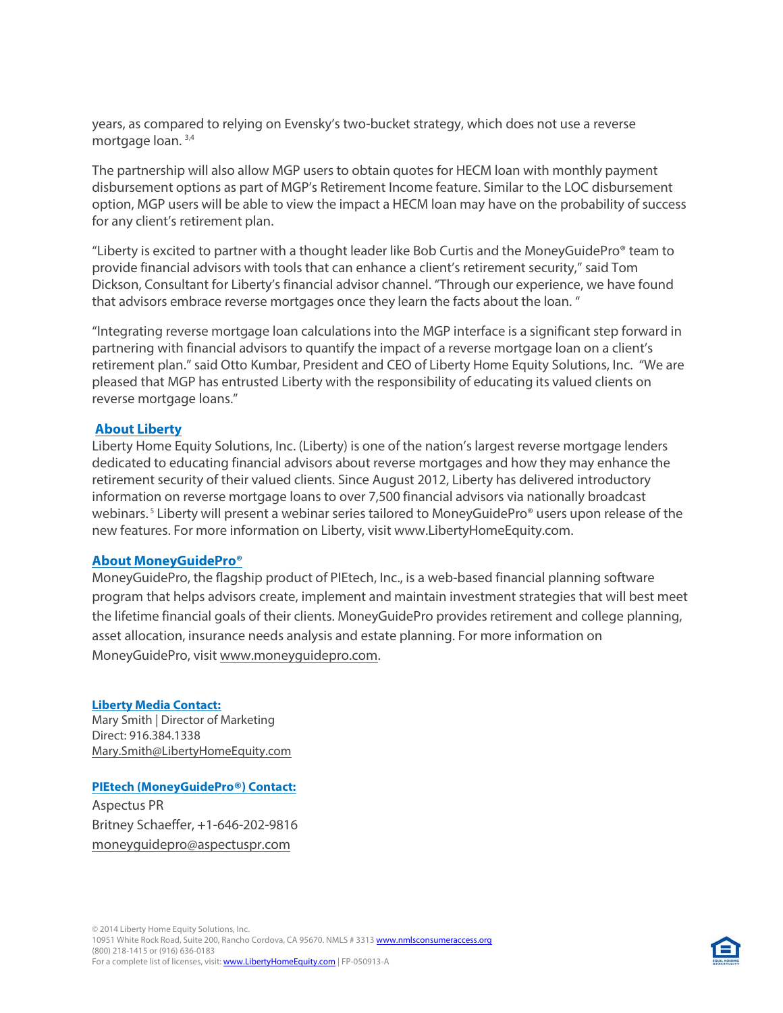years, as compared to relying on Evensky's two-bucket strategy, which does not use a reverse mortgage loan.<sup>3,4</sup>

The partnership will also allow MGP users to obtain quotes for HECM loan with monthly payment disbursement options as part of MGP's Retirement Income feature. Similar to the LOC disbursement option, MGP users will be able to view the impact a HECM loan may have on the probability of success for any client's retirement plan.

"Liberty is excited to partner with a thought leader like Bob Curtis and the MoneyGuidePro® team to provide financial advisors with tools that can enhance a client's retirement security," said Tom Dickson, Consultant for Liberty's financial advisor channel. "Through our experience, we have found that advisors embrace reverse mortgages once they learn the facts about the loan. "

"Integrating reverse mortgage loan calculations into the MGP interface is a significant step forward in partnering with financial advisors to quantify the impact of a reverse mortgage loan on a client's retirement plan." said Otto Kumbar, President and CEO of Liberty Home Equity Solutions, Inc. "We are pleased that MGP has entrusted Liberty with the responsibility of educating its valued clients on reverse mortgage loans."

## **About Liberty**

Liberty Home Equity Solutions, Inc. (Liberty) is one of the nation's largest reverse mortgage lenders dedicated to educating financial advisors about reverse mortgages and how they may enhance the retirement security of their valued clients. Since August 2012, Liberty has delivered introductory information on reverse mortgage loans to over 7,500 financial advisors via nationally broadcast webinars.<sup>5</sup> Liberty will present a webinar series tailored to MoneyGuidePro<sup>®</sup> users upon release of the new features. For more information on Liberty, visit www.LibertyHomeEquity.com.

#### **About MoneyGuidePro®**

MoneyGuidePro, the flagship product of PIEtech, Inc., is a web-based financial planning software program that helps advisors create, implement and maintain investment strategies that will best meet the lifetime financial goals of their clients. MoneyGuidePro provides retirement and college planning, asset allocation, insurance needs analysis and estate planning. For more information on MoneyGuidePro, visit [www.moneyguidepro.com.](http://cts.businesswire.com/ct/CT?id=smartlink&url=http%3A%2F%2Fwww.moneyguidepro.com&esheet=50801991&newsitemid=20140211006299&lan=en-US&anchor=www.moneyguidepro.com&index=2&md5=71058969ab759490a7ba1aadfefdcc7f) 

#### **Liberty Media Contact:**

Mary Smith | Director of Marketing Direct: 916.384.1338 [Mary.Smith@LibertyHomeEquity.com](mailto:Mary.Smith@LibertyHomeEquity.com)

## **PIEtech (MoneyGuidePro®) Contact:**

Aspectus PR Britney Schaeffer, +1-646-202-9816 [moneyguidepro@aspectuspr.com](mailto:moneyguidepro@aspectuspr.com)